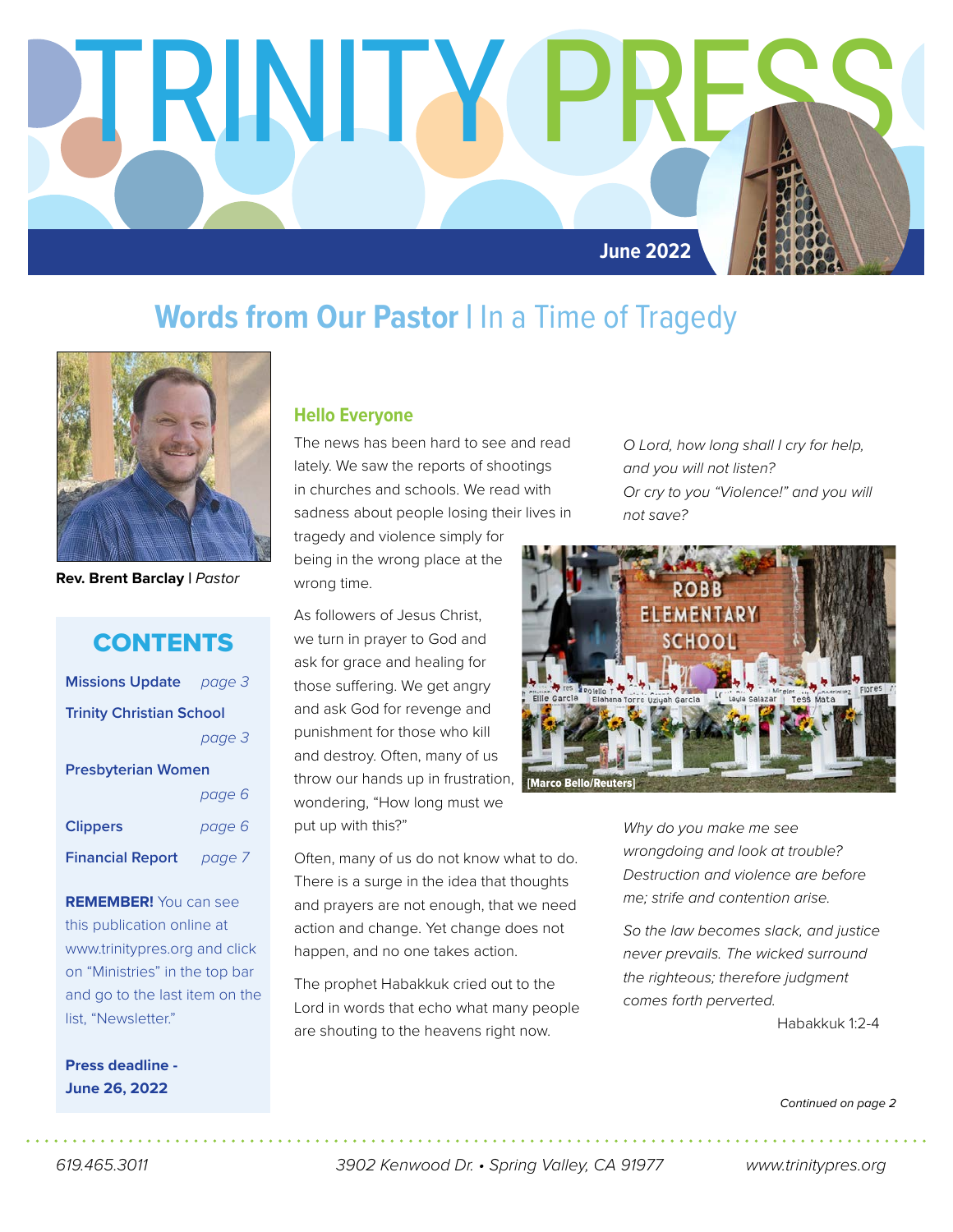

### **Words from Our Pastor | In a Time of Tragedy**



**Rev. Brent Barclay |** *Pastor*

### **CONTENTS**

| <b>Missions Update</b> page 3   |        |  |  |
|---------------------------------|--------|--|--|
| <b>Trinity Christian School</b> |        |  |  |
|                                 | page 3 |  |  |
| <b>Presbyterian Women</b>       |        |  |  |
|                                 | page 6 |  |  |
| <b>Clippers</b>                 | page 6 |  |  |
| <b>Financial Report</b> page 7  |        |  |  |
|                                 |        |  |  |

**REMEMBER!** You can see this publication online at www.trinitypres.org and click on "Ministries" in the top bar and go to the last item on the list, "Newsletter."

**Press deadline - June 26, 2022**

#### **Hello Everyone**

The news has been hard to see and read lately. We saw the reports of shootings in churches and schools. We read with sadness about people losing their lives in

tragedy and violence simply for being in the wrong place at the wrong time.

As followers of Jesus Christ, we turn in prayer to God and ask for grace and healing for those suffering. We get angry and ask God for revenge and punishment for those who kill and destroy. Often, many of us throw our hands up in frustration, wondering, "How long must we put up with this?"

Often, many of us do not know what to do. There is a surge in the idea that thoughts and prayers are not enough, that we need action and change. Yet change does not happen, and no one takes action.

The prophet Habakkuk cried out to the Lord in words that echo what many people are shouting to the heavens right now.

*O Lord, how long shall I cry for help, and you will not listen? Or cry to you "Violence!" and you will not save?* 



*Why do you make me see wrongdoing and look at trouble? Destruction and violence are before me; strife and contention arise.* 

*So the law becomes slack, and justice never prevails. The wicked surround the righteous; therefore judgment comes forth perverted.* 

Habakkuk 1:2-4

*Continued on page 2*

*619.465.3011 3902 Kenwood Dr. • Spring Valley, CA 91977 www.trinitypres.org*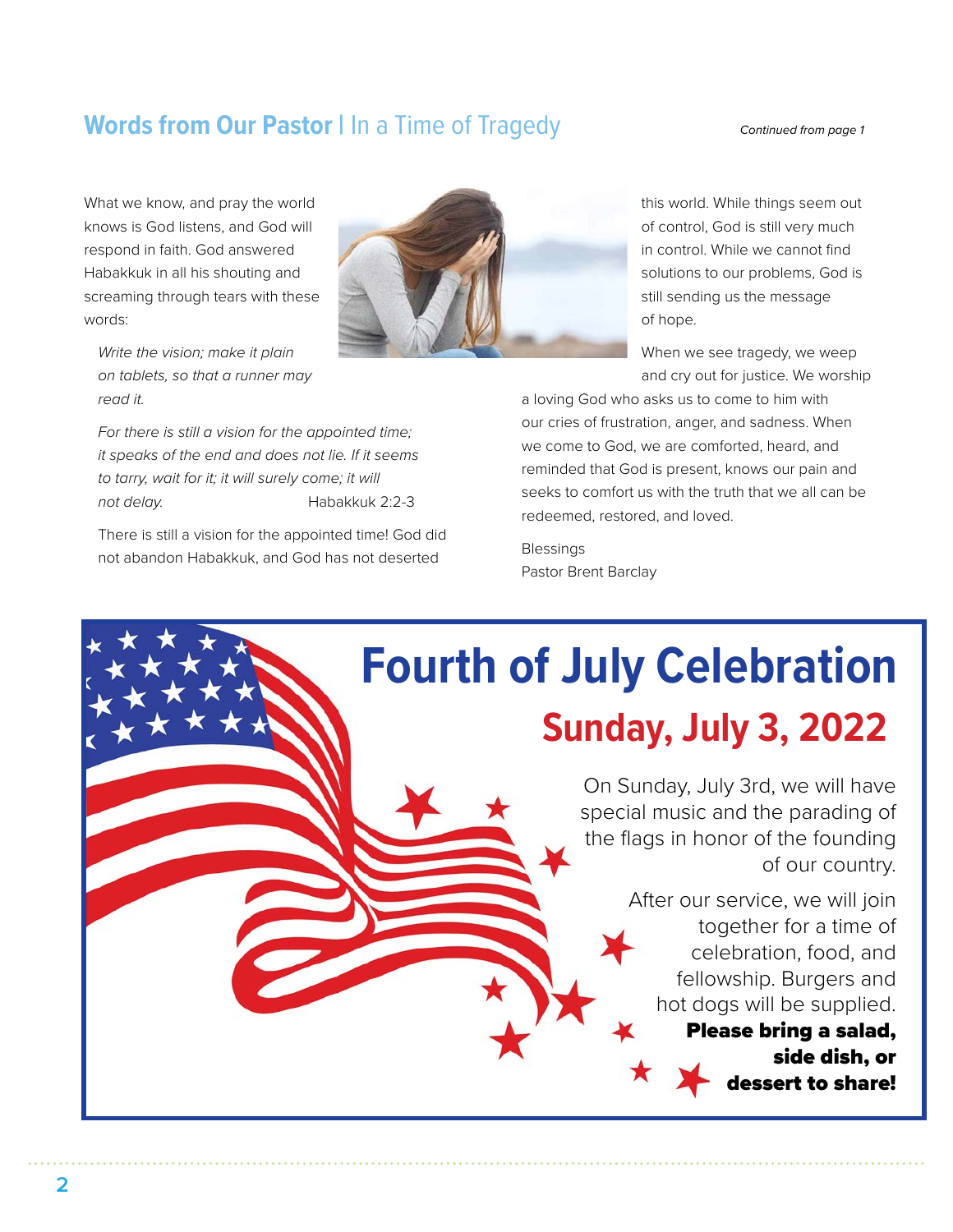### **Words from Our Pastor | In a Time of Tragedy** *Continued from page 1*

What we know, and pray the world knows is God listens, and God will respond in faith. God answered Habakkuk in all his shouting and screaming through tears with these words:



*Write the vision; make it plain on tablets, so that a runner may read it.*

*For there is still a vision for the appointed time; it speaks of the end and does not lie. If it seems to tarry, wait for it; it will surely come; it will not delay.* Habakkuk 2:2-3

There is still a vision for the appointed time! God did not abandon Habakkuk, and God has not deserted

this world. While things seem out of control, God is still very much in control. While we cannot find solutions to our problems, God is still sending us the message of hope.

When we see tragedy, we weep and cry out for justice. We worship

a loving God who asks us to come to him with our cries of frustration, anger, and sadness. When we come to God, we are comforted, heard, and reminded that God is present, knows our pain and seeks to comfort us with the truth that we all can be redeemed, restored, and loved.

Blessings Pastor Brent Barclay

# **Fourth of July Celebration Sunday, July 3, 2022**

On Sunday, July 3rd, we will have special music and the parading of the flags in honor of the founding of our country.

> After our service, we will join together for a time of celebration, food, and fellowship. Burgers and hot dogs will be supplied.

#### Please bring a salad, side dish, or

dessert to share!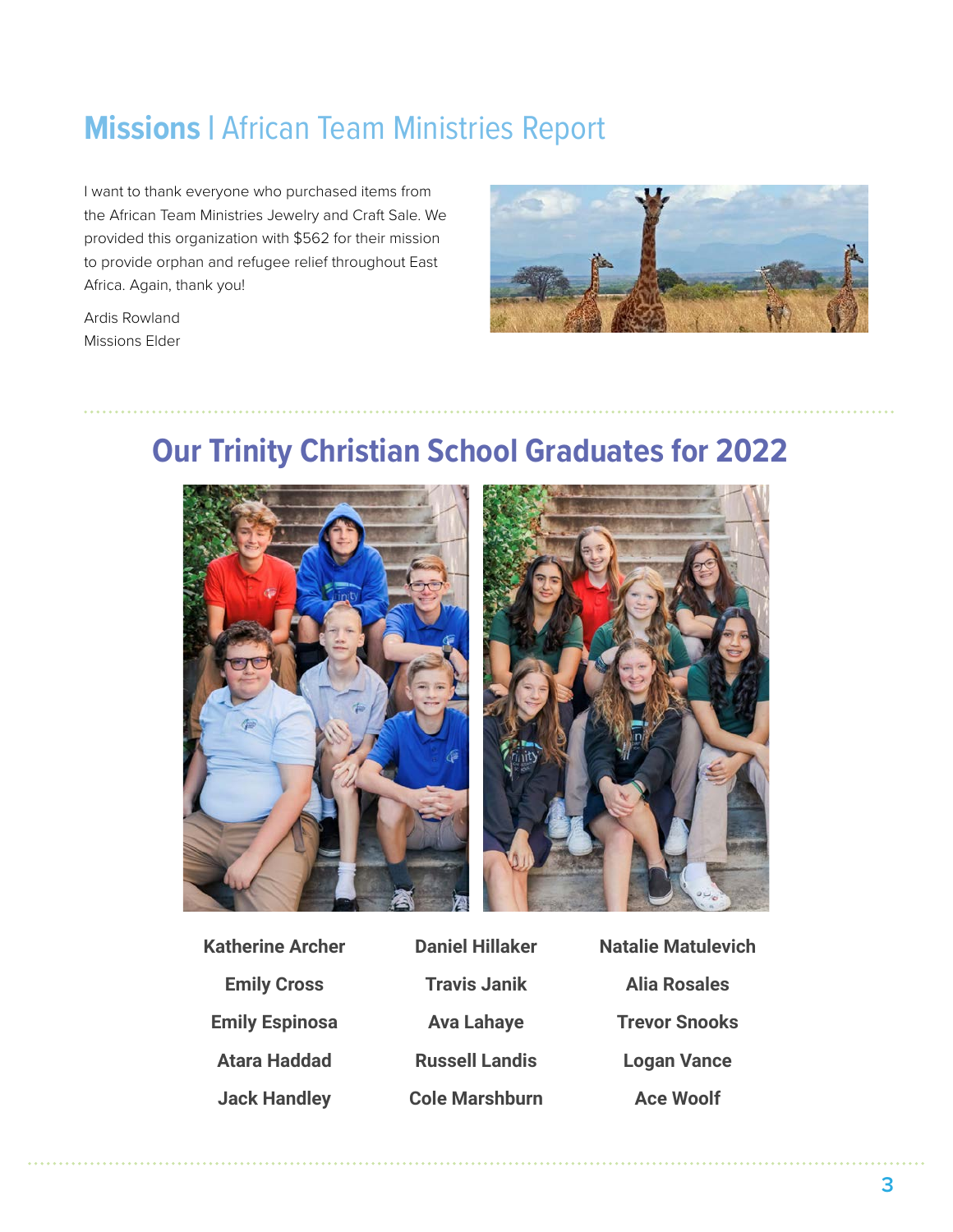### **Missions |** African Team Ministries Report

I want to thank everyone who purchased items from the African Team Ministries Jewelry and Craft Sale. We provided this organization with \$562 for their mission to provide orphan and refugee relief throughout East Africa. Again, thank you!

Ardis Rowland Missions Elder



### **Our Trinity Christian School Graduates for 2022**



**Katherine Archer Emily Cross Emily Espinosa Atara Haddad Jack Handley**

**Daniel Hillaker Travis Janik Ava Lahaye Russell Landis Cole Marshburn** **Natalie Matulevich Alia Rosales Trevor Snooks Logan Vance Ace Woolf**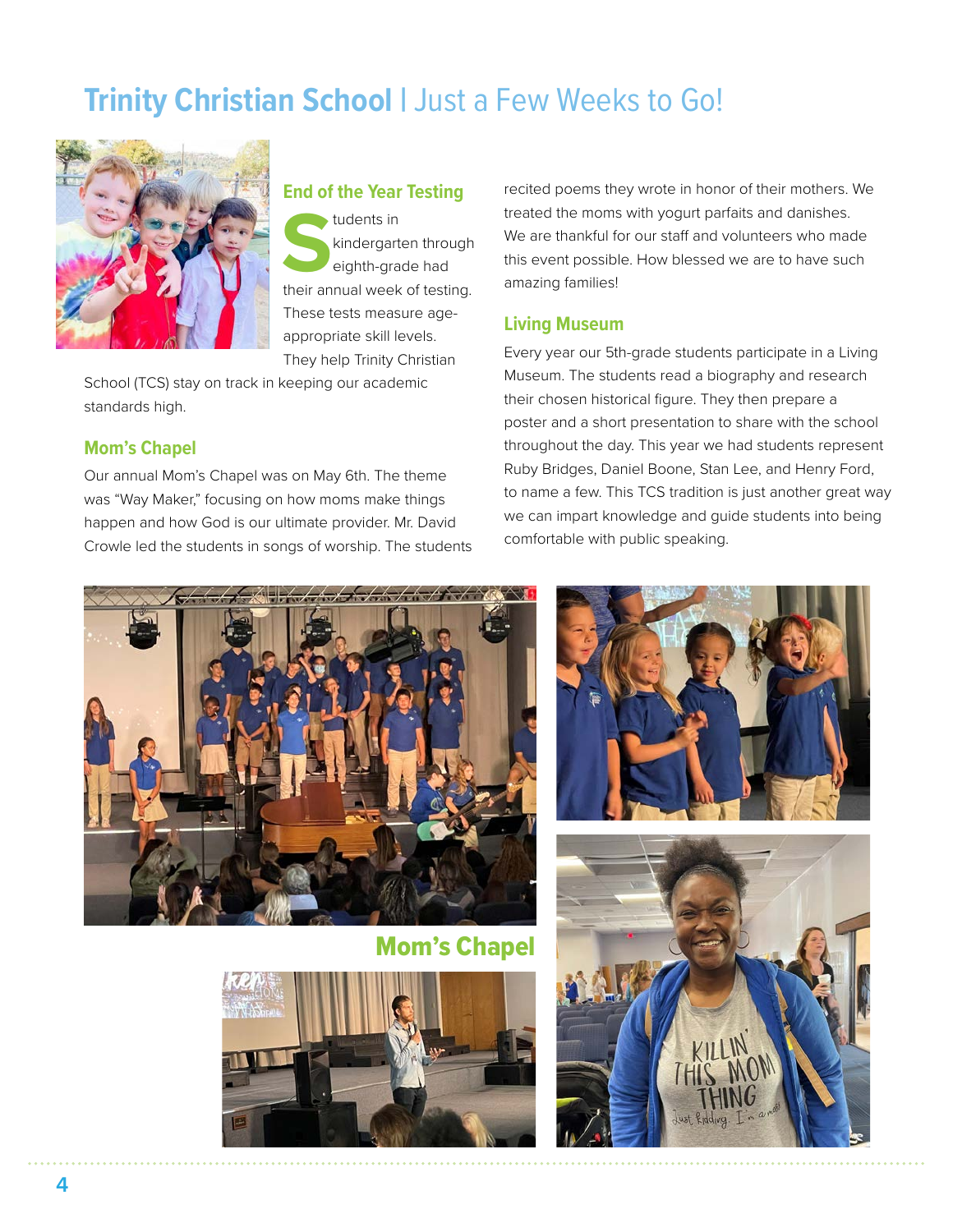### **Trinity Christian School | Just a Few Weeks to Go!**



#### **End of the Year Testing**

**S**tudents in<br> **Solution**<br> **Students**<br> **Students**<br> **Students**<br> **Students**<br> **Students**<br> **Students**<br> **Students**<br> **Students**<br> **Students**<br> **Students**<br> **Students**<br> **Students**<br> **Students**<br> **Students**<br> **Students**<br> **Students**<br> **St** kindergarten through eighth-grade had These tests measure ageappropriate skill levels. They help Trinity Christian

School (TCS) stay on track in keeping our academic standards high.

#### **Mom's Chapel**

Our annual Mom's Chapel was on May 6th. The theme was "Way Maker," focusing on how moms make things happen and how God is our ultimate provider. Mr. David Crowle led the students in songs of worship. The students

recited poems they wrote in honor of their mothers. We treated the moms with yogurt parfaits and danishes. We are thankful for our staff and volunteers who made this event possible. How blessed we are to have such amazing families!

#### **Living Museum**

Every year our 5th-grade students participate in a Living Museum. The students read a biography and research their chosen historical figure. They then prepare a poster and a short presentation to share with the school throughout the day. This year we had students represent Ruby Bridges, Daniel Boone, Stan Lee, and Henry Ford, to name a few. This TCS tradition is just another great way we can impart knowledge and guide students into being comfortable with public speaking.



Mom's Chapel





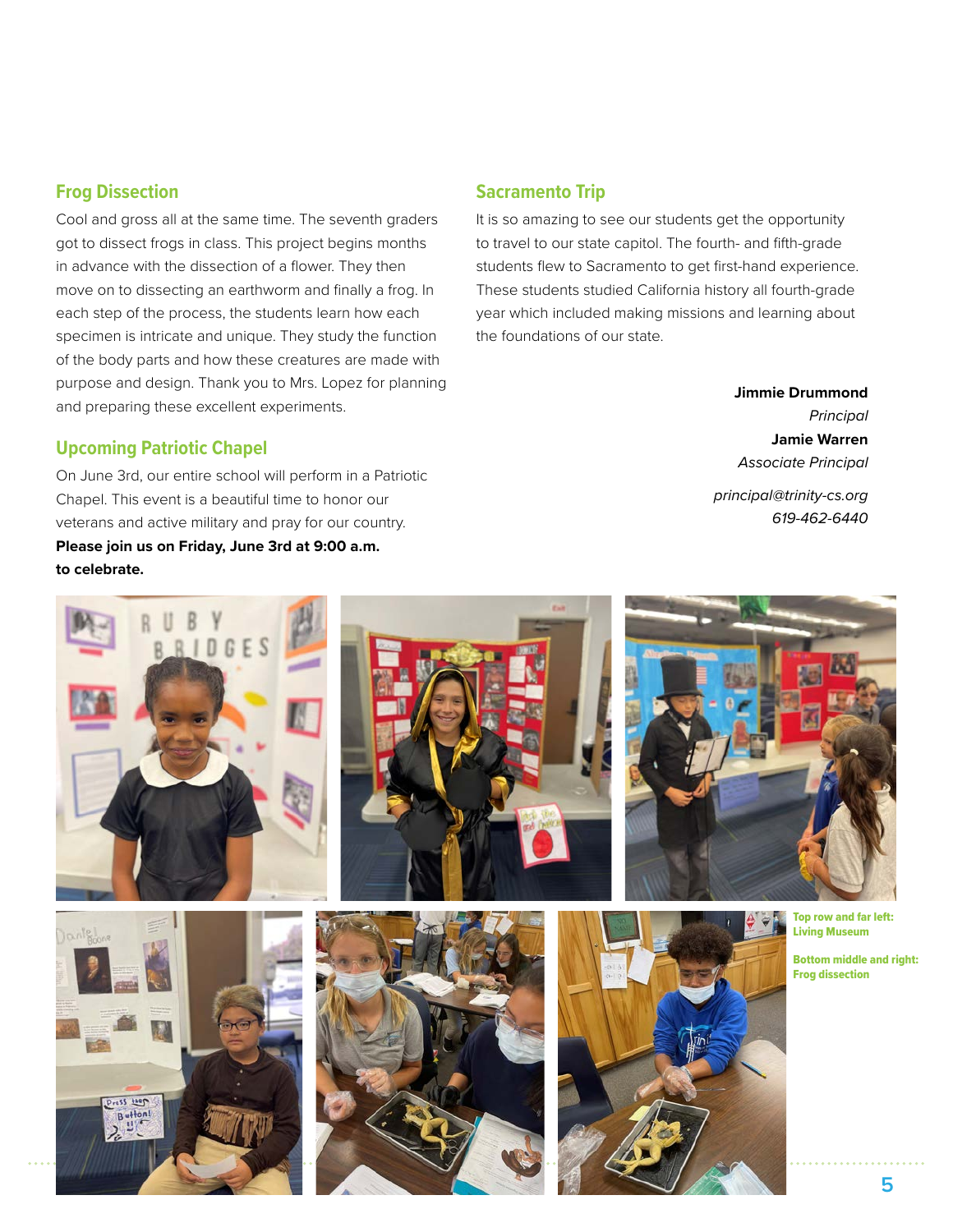#### **Frog Dissection**

Cool and gross all at the same time. The seventh graders got to dissect frogs in class. This project begins months in advance with the dissection of a flower. They then move on to dissecting an earthworm and finally a frog. In each step of the process, the students learn how each specimen is intricate and unique. They study the function of the body parts and how these creatures are made with purpose and design. Thank you to Mrs. Lopez for planning and preparing these excellent experiments.

#### **Upcoming Patriotic Chapel**

On June 3rd, our entire school will perform in a Patriotic Chapel. This event is a beautiful time to honor our veterans and active military and pray for our country. **Please join us on Friday, June 3rd at 9:00 a.m. to celebrate.**

#### **Sacramento Trip**

It is so amazing to see our students get the opportunity to travel to our state capitol. The fourth- and fifth-grade students flew to Sacramento to get first-hand experience. These students studied California history all fourth-grade year which included making missions and learning about the foundations of our state.

**Jimmie Drummond**

*Principal* **Jamie Warren** *Associate Principal principal@trinity-cs.org 619-462-6440*

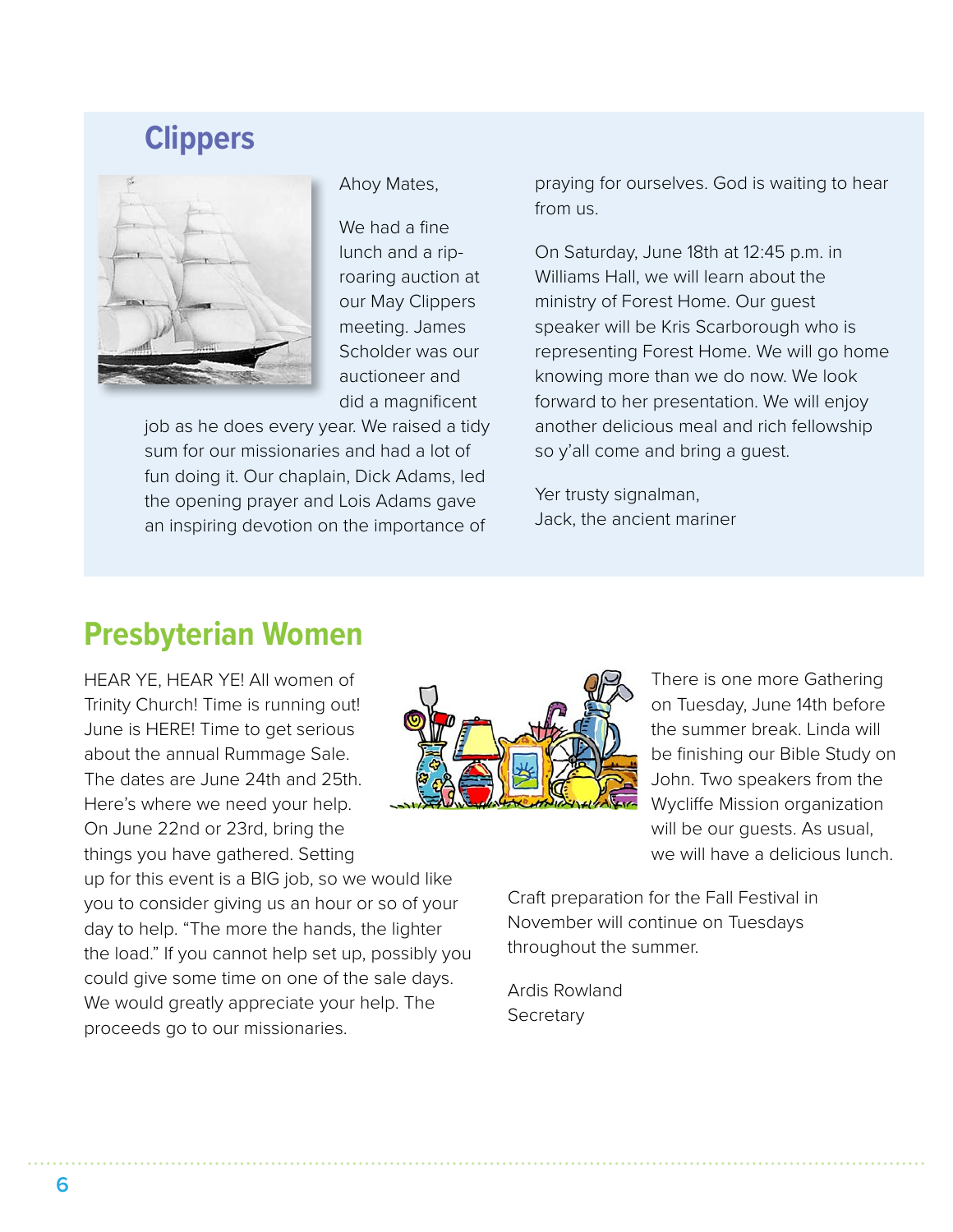### **Clippers**



Ahoy Mates,

We had a fine lunch and a riproaring auction at our May Clippers meeting. James Scholder was our auctioneer and did a magnificent

job as he does every year. We raised a tidy sum for our missionaries and had a lot of fun doing it. Our chaplain, Dick Adams, led the opening prayer and Lois Adams gave an inspiring devotion on the importance of

praying for ourselves. God is waiting to hear from us.

On Saturday, June 18th at 12:45 p.m. in Williams Hall, we will learn about the ministry of Forest Home. Our guest speaker will be Kris Scarborough who is representing Forest Home. We will go home knowing more than we do now. We look forward to her presentation. We will enjoy another delicious meal and rich fellowship so y'all come and bring a guest.

Yer trusty signalman, Jack, the ancient mariner

### **Presbyterian Women**

HEAR YE, HEAR YE! All women of Trinity Church! Time is running out! June is HERE! Time to get serious about the annual Rummage Sale. The dates are June 24th and 25th. Here's where we need your help. On June 22nd or 23rd, bring the things you have gathered. Setting

up for this event is a BIG job, so we would like you to consider giving us an hour or so of your day to help. "The more the hands, the lighter the load." If you cannot help set up, possibly you could give some time on one of the sale days. We would greatly appreciate your help. The proceeds go to our missionaries.



There is one more Gathering on Tuesday, June 14th before the summer break. Linda will be finishing our Bible Study on John. Two speakers from the Wycliffe Mission organization will be our guests. As usual, we will have a delicious lunch.

Craft preparation for the Fall Festival in November will continue on Tuesdays throughout the summer.

Ardis Rowland **Secretary**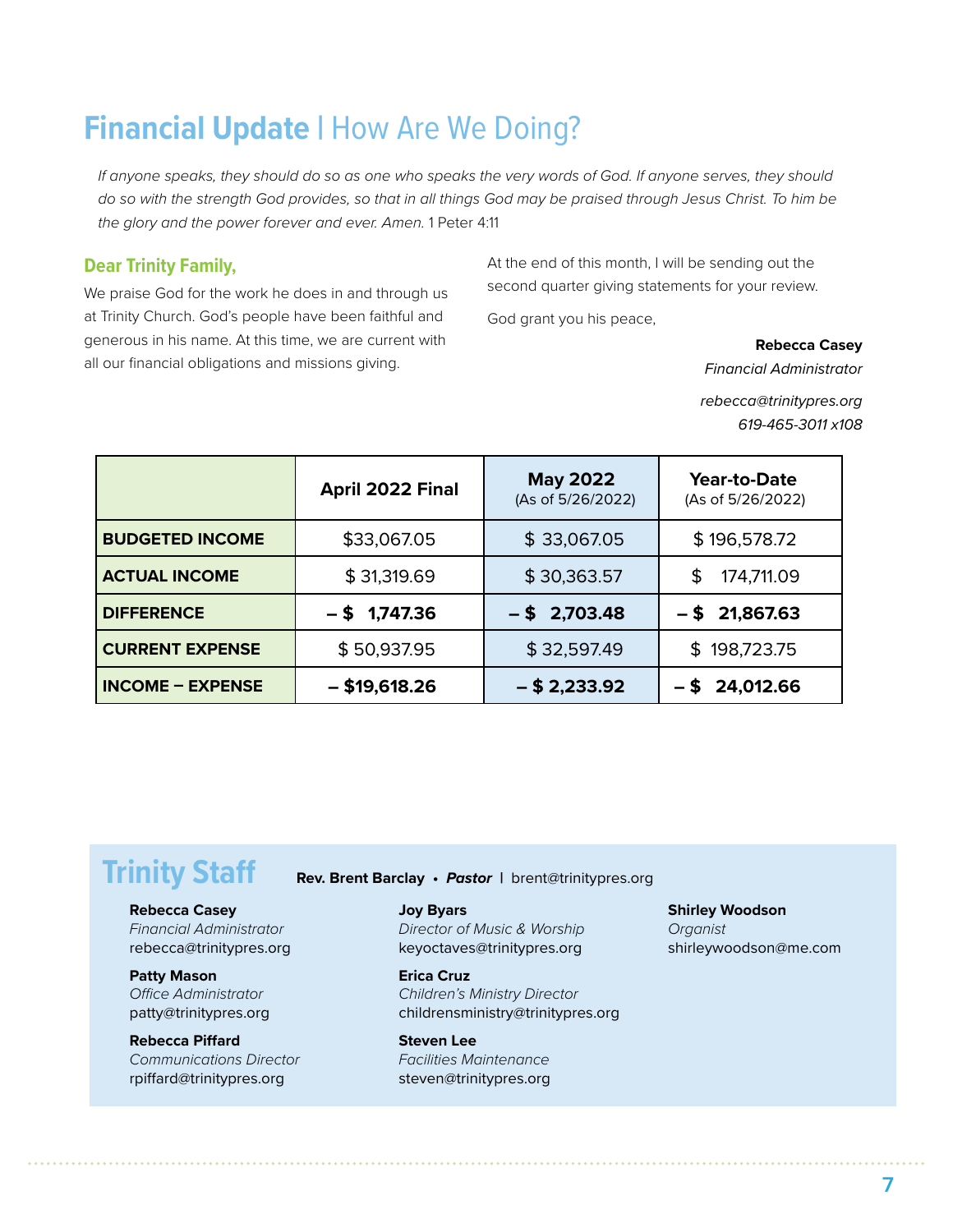### **Financial Update | How Are We Doing?**

*If anyone speaks, they should do so as one who speaks the very words of God. If anyone serves, they should do so with the strength God provides, so that in all things God may be praised through Jesus Christ. To him be the glory and the power forever and ever. Amen.* 1 Peter 4:11

#### **Dear Trinity Family,**

We praise God for the work he does in and through us at Trinity Church. God's people have been faithful and generous in his name. At this time, we are current with all our financial obligations and missions giving.

At the end of this month, I will be sending out the second quarter giving statements for your review.

God grant you his peace,

**Rebecca Casey**

*Financial Administrator*

*rebecca@trinitypres.org 619-465-3011 x108*

|                         | April 2022 Final | <b>May 2022</b><br>(As of 5/26/2022) | Year-to-Date<br>(As of 5/26/2022) |
|-------------------------|------------------|--------------------------------------|-----------------------------------|
| <b>BUDGETED INCOME</b>  | \$33,067.05      | \$33,067.05                          | \$196,578.72                      |
| <b>ACTUAL INCOME</b>    | \$31,319.69      | \$30,363.57                          | \$<br>174,711.09                  |
| <b>DIFFERENCE</b>       | $-$ \$ 1,747.36  | $-$ \$ 2,703.48                      | $-$ \$ 21,867.63                  |
| <b>CURRENT EXPENSE</b>  | \$50,937.95      | \$32,597.49                          | \$198,723.75                      |
| <b>INCOME - EXPENSE</b> | $-$ \$19,618.26  | $-$ \$ 2,233.92                      | 24,012.66                         |

#### **Rebecca Casey**

*Financial Administrator* rebecca@trinitypres.org

#### **Patty Mason** *Office Administrator* patty@trinitypres.org

**Rebecca Piffard** *Communications Director* rpiffard@trinitypres.org

**Trinity Staff Rev. Brent Barclay •** *Pastor* **|** brent@trinitypres.org

#### **Joy Byars**

*Director of Music & Worship* keyoctaves@trinitypres.org

**Erica Cruz** *Children's Ministry Director* childrensministry@trinitypres.org

**Steven Lee** *Facilities Maintenance* steven@trinitypres.org

#### **Shirley Woodson**

*Organist* shirleywoodson@me.com